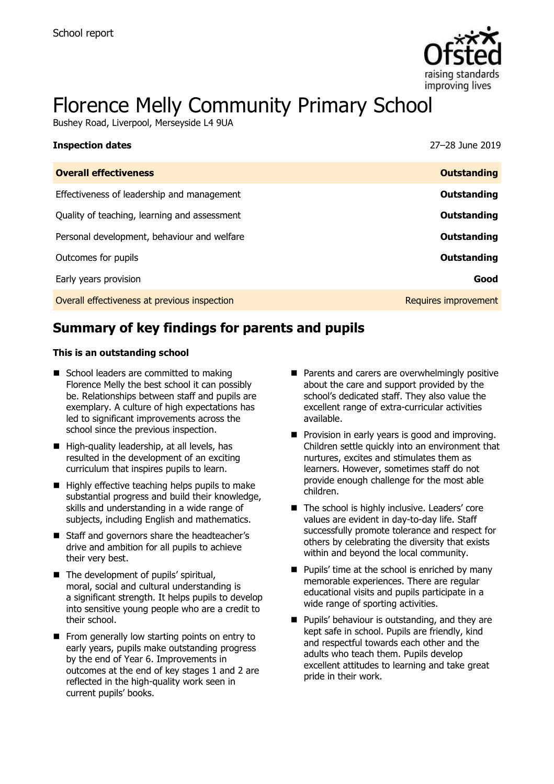

# Florence Melly Community Primary School

Bushey Road, Liverpool, Merseyside L4 9UA

| 27–28 June 2019      |
|----------------------|
| <b>Outstanding</b>   |
| Outstanding          |
| Outstanding          |
| Outstanding          |
| Outstanding          |
| Good                 |
| Requires improvement |
|                      |

# **Summary of key findings for parents and pupils**

#### **This is an outstanding school**

- School leaders are committed to making Florence Melly the best school it can possibly be. Relationships between staff and pupils are exemplary. A culture of high expectations has led to significant improvements across the school since the previous inspection.
- $\blacksquare$  High-quality leadership, at all levels, has resulted in the development of an exciting curriculum that inspires pupils to learn.
- $\blacksquare$  Highly effective teaching helps pupils to make substantial progress and build their knowledge, skills and understanding in a wide range of subjects, including English and mathematics.
- Staff and governors share the headteacher's drive and ambition for all pupils to achieve their very best.
- The development of pupils' spiritual, moral, social and cultural understanding is a significant strength. It helps pupils to develop into sensitive young people who are a credit to their school.
- From generally low starting points on entry to early years, pupils make outstanding progress by the end of Year 6. Improvements in outcomes at the end of key stages 1 and 2 are reflected in the high-quality work seen in current pupils' books.
- **Parents and carers are overwhelmingly positive** about the care and support provided by the school's dedicated staff. They also value the excellent range of extra-curricular activities available.
- **Provision in early years is good and improving.** Children settle quickly into an environment that nurtures, excites and stimulates them as learners. However, sometimes staff do not provide enough challenge for the most able children.
- The school is highly inclusive. Leaders' core values are evident in day-to-day life. Staff successfully promote tolerance and respect for others by celebrating the diversity that exists within and beyond the local community.
- $\blacksquare$  Pupils' time at the school is enriched by many memorable experiences. There are regular educational visits and pupils participate in a wide range of sporting activities.
- **Pupils' behaviour is outstanding, and they are** kept safe in school. Pupils are friendly, kind and respectful towards each other and the adults who teach them. Pupils develop excellent attitudes to learning and take great pride in their work.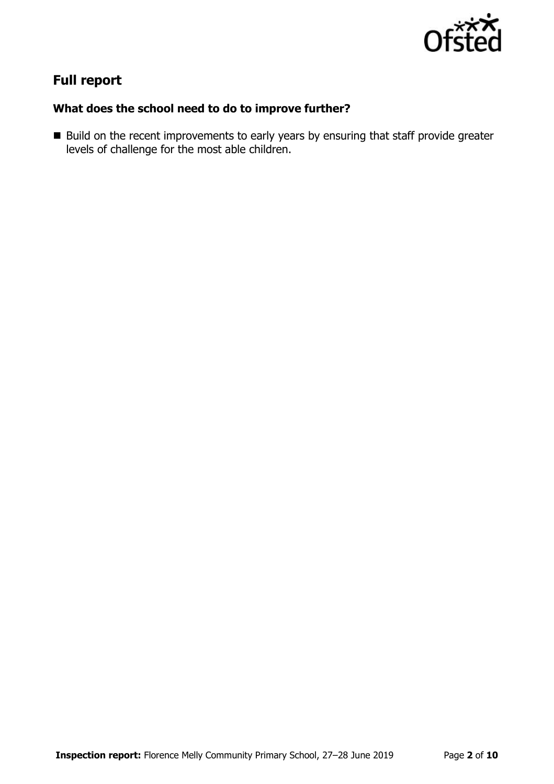

# **Full report**

### **What does the school need to do to improve further?**

Build on the recent improvements to early years by ensuring that staff provide greater levels of challenge for the most able children.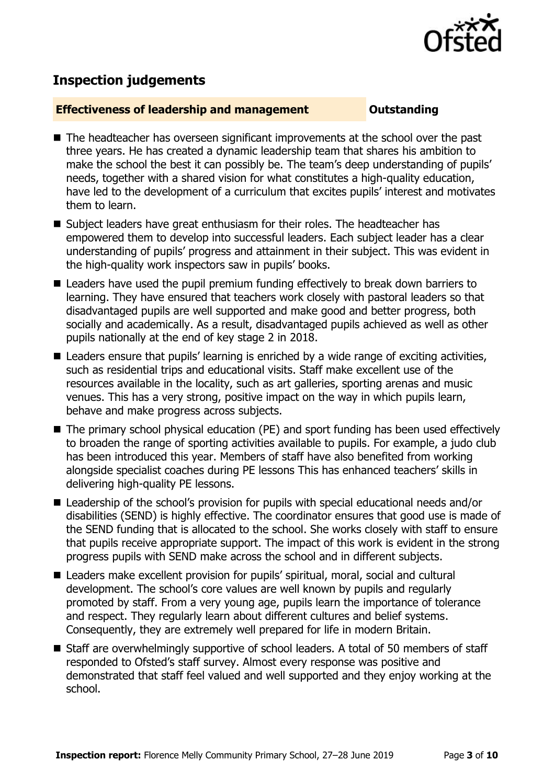

# **Inspection judgements**

#### **Effectiveness of leadership and management COULDER COULDER OUTSTANDING**

- The headteacher has overseen significant improvements at the school over the past three years. He has created a dynamic leadership team that shares his ambition to make the school the best it can possibly be. The team's deep understanding of pupils' needs, together with a shared vision for what constitutes a high-quality education, have led to the development of a curriculum that excites pupils' interest and motivates them to learn.
- Subject leaders have great enthusiasm for their roles. The headteacher has empowered them to develop into successful leaders. Each subject leader has a clear understanding of pupils' progress and attainment in their subject. This was evident in the high-quality work inspectors saw in pupils' books.
- Leaders have used the pupil premium funding effectively to break down barriers to learning. They have ensured that teachers work closely with pastoral leaders so that disadvantaged pupils are well supported and make good and better progress, both socially and academically. As a result, disadvantaged pupils achieved as well as other pupils nationally at the end of key stage 2 in 2018.
- Leaders ensure that pupils' learning is enriched by a wide range of exciting activities, such as residential trips and educational visits. Staff make excellent use of the resources available in the locality, such as art galleries, sporting arenas and music venues. This has a very strong, positive impact on the way in which pupils learn, behave and make progress across subjects.
- The primary school physical education (PE) and sport funding has been used effectively to broaden the range of sporting activities available to pupils. For example, a judo club has been introduced this year. Members of staff have also benefited from working alongside specialist coaches during PE lessons This has enhanced teachers' skills in delivering high-quality PE lessons.
- Leadership of the school's provision for pupils with special educational needs and/or disabilities (SEND) is highly effective. The coordinator ensures that good use is made of the SEND funding that is allocated to the school. She works closely with staff to ensure that pupils receive appropriate support. The impact of this work is evident in the strong progress pupils with SEND make across the school and in different subjects.
- Leaders make excellent provision for pupils' spiritual, moral, social and cultural development. The school's core values are well known by pupils and regularly promoted by staff. From a very young age, pupils learn the importance of tolerance and respect. They regularly learn about different cultures and belief systems. Consequently, they are extremely well prepared for life in modern Britain.
- Staff are overwhelmingly supportive of school leaders. A total of 50 members of staff responded to Ofsted's staff survey. Almost every response was positive and demonstrated that staff feel valued and well supported and they enjoy working at the school.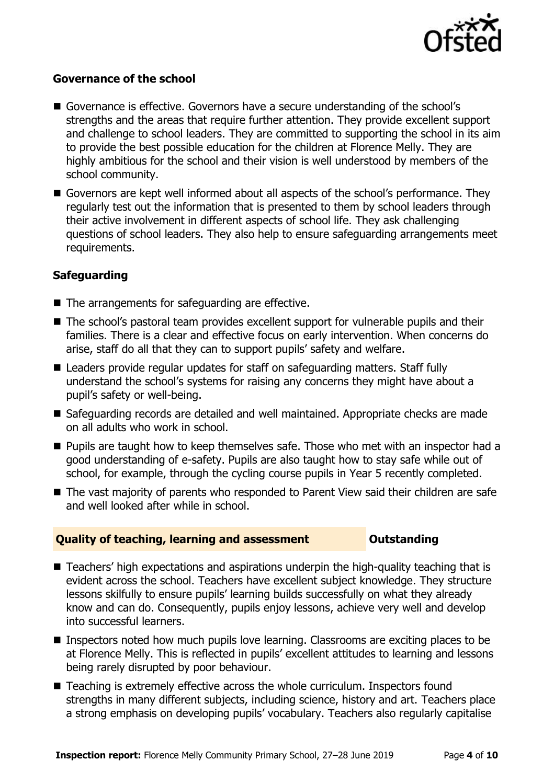

#### **Governance of the school**

- Governance is effective. Governors have a secure understanding of the school's strengths and the areas that require further attention. They provide excellent support and challenge to school leaders. They are committed to supporting the school in its aim to provide the best possible education for the children at Florence Melly. They are highly ambitious for the school and their vision is well understood by members of the school community.
- Governors are kept well informed about all aspects of the school's performance. They regularly test out the information that is presented to them by school leaders through their active involvement in different aspects of school life. They ask challenging questions of school leaders. They also help to ensure safeguarding arrangements meet requirements.

### **Safeguarding**

- The arrangements for safeguarding are effective.
- The school's pastoral team provides excellent support for vulnerable pupils and their families. There is a clear and effective focus on early intervention. When concerns do arise, staff do all that they can to support pupils' safety and welfare.
- Leaders provide regular updates for staff on safeguarding matters. Staff fully understand the school's systems for raising any concerns they might have about a pupil's safety or well-being.
- Safeguarding records are detailed and well maintained. Appropriate checks are made on all adults who work in school.
- **Pupils are taught how to keep themselves safe. Those who met with an inspector had a** good understanding of e-safety. Pupils are also taught how to stay safe while out of school, for example, through the cycling course pupils in Year 5 recently completed.
- The vast majority of parents who responded to Parent View said their children are safe and well looked after while in school.

#### **Quality of teaching, learning and assessment Outstanding**

- Teachers' high expectations and aspirations underpin the high-quality teaching that is evident across the school. Teachers have excellent subject knowledge. They structure lessons skilfully to ensure pupils' learning builds successfully on what they already know and can do. Consequently, pupils enjoy lessons, achieve very well and develop into successful learners.
- Inspectors noted how much pupils love learning. Classrooms are exciting places to be at Florence Melly. This is reflected in pupils' excellent attitudes to learning and lessons being rarely disrupted by poor behaviour.
- Teaching is extremely effective across the whole curriculum. Inspectors found strengths in many different subjects, including science, history and art. Teachers place a strong emphasis on developing pupils' vocabulary. Teachers also regularly capitalise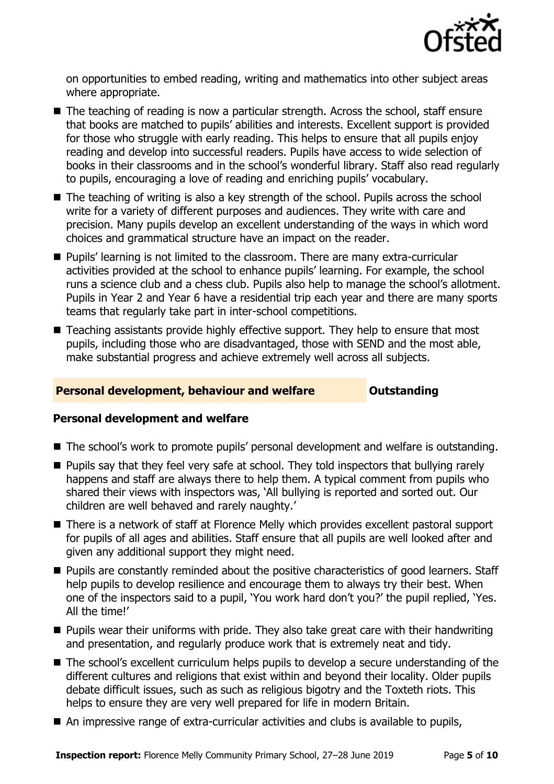

on opportunities to embed reading, writing and mathematics into other subject areas where appropriate.

- The teaching of reading is now a particular strength. Across the school, staff ensure that books are matched to pupils' abilities and interests. Excellent support is provided for those who struggle with early reading. This helps to ensure that all pupils enjoy reading and develop into successful readers. Pupils have access to wide selection of books in their classrooms and in the school's wonderful library. Staff also read regularly to pupils, encouraging a love of reading and enriching pupils' vocabulary.
- The teaching of writing is also a key strength of the school. Pupils across the school write for a variety of different purposes and audiences. They write with care and precision. Many pupils develop an excellent understanding of the ways in which word choices and grammatical structure have an impact on the reader.
- **Pupils' learning is not limited to the classroom. There are many extra-curricular** activities provided at the school to enhance pupils' learning. For example, the school runs a science club and a chess club. Pupils also help to manage the school's allotment. Pupils in Year 2 and Year 6 have a residential trip each year and there are many sports teams that regularly take part in inter-school competitions.
- Teaching assistants provide highly effective support. They help to ensure that most pupils, including those who are disadvantaged, those with SEND and the most able, make substantial progress and achieve extremely well across all subjects.

#### **Personal development, behaviour and welfare <b>COULTS** Outstanding

### **Personal development and welfare**

- The school's work to promote pupils' personal development and welfare is outstanding.
- **Pupils say that they feel very safe at school. They told inspectors that bullying rarely** happens and staff are always there to help them. A typical comment from pupils who shared their views with inspectors was, 'All bullying is reported and sorted out. Our children are well behaved and rarely naughty.'
- There is a network of staff at Florence Melly which provides excellent pastoral support for pupils of all ages and abilities. Staff ensure that all pupils are well looked after and given any additional support they might need.
- **Pupils are constantly reminded about the positive characteristics of good learners. Staff** help pupils to develop resilience and encourage them to always try their best. When one of the inspectors said to a pupil, 'You work hard don't you?' the pupil replied, 'Yes. All the time!'
- **Pupils wear their uniforms with pride. They also take great care with their handwriting** and presentation, and regularly produce work that is extremely neat and tidy.
- The school's excellent curriculum helps pupils to develop a secure understanding of the different cultures and religions that exist within and beyond their locality. Older pupils debate difficult issues, such as such as religious bigotry and the Toxteth riots. This helps to ensure they are very well prepared for life in modern Britain.
- An impressive range of extra-curricular activities and clubs is available to pupils,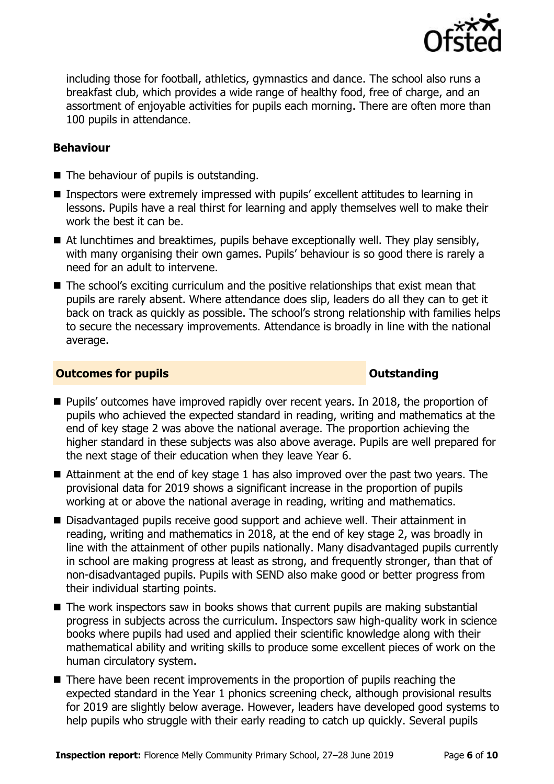

including those for football, athletics, gymnastics and dance. The school also runs a breakfast club, which provides a wide range of healthy food, free of charge, and an assortment of enjoyable activities for pupils each morning. There are often more than 100 pupils in attendance.

#### **Behaviour**

- The behaviour of pupils is outstanding.
- Inspectors were extremely impressed with pupils' excellent attitudes to learning in lessons. Pupils have a real thirst for learning and apply themselves well to make their work the best it can be.
- $\blacksquare$  At lunchtimes and breaktimes, pupils behave exceptionally well. They play sensibly, with many organising their own games. Pupils' behaviour is so good there is rarely a need for an adult to intervene.
- The school's exciting curriculum and the positive relationships that exist mean that pupils are rarely absent. Where attendance does slip, leaders do all they can to get it back on track as quickly as possible. The school's strong relationship with families helps to secure the necessary improvements. Attendance is broadly in line with the national average.

#### **Outcomes for pupils Outstanding**

- **Pupils'** outcomes have improved rapidly over recent years. In 2018, the proportion of pupils who achieved the expected standard in reading, writing and mathematics at the end of key stage 2 was above the national average. The proportion achieving the higher standard in these subjects was also above average. Pupils are well prepared for the next stage of their education when they leave Year 6.
- Attainment at the end of key stage 1 has also improved over the past two years. The provisional data for 2019 shows a significant increase in the proportion of pupils working at or above the national average in reading, writing and mathematics.
- Disadvantaged pupils receive good support and achieve well. Their attainment in reading, writing and mathematics in 2018, at the end of key stage 2, was broadly in line with the attainment of other pupils nationally. Many disadvantaged pupils currently in school are making progress at least as strong, and frequently stronger, than that of non-disadvantaged pupils. Pupils with SEND also make good or better progress from their individual starting points.
- The work inspectors saw in books shows that current pupils are making substantial progress in subjects across the curriculum. Inspectors saw high-quality work in science books where pupils had used and applied their scientific knowledge along with their mathematical ability and writing skills to produce some excellent pieces of work on the human circulatory system.
- There have been recent improvements in the proportion of pupils reaching the expected standard in the Year 1 phonics screening check, although provisional results for 2019 are slightly below average. However, leaders have developed good systems to help pupils who struggle with their early reading to catch up quickly. Several pupils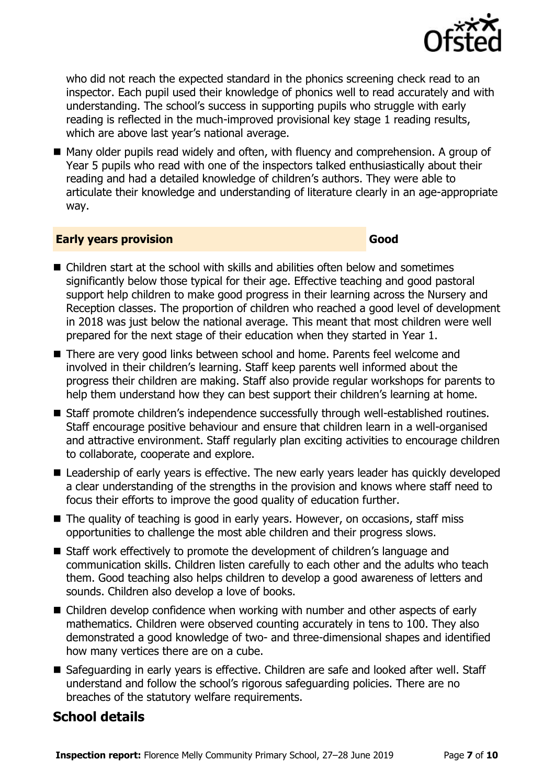

who did not reach the expected standard in the phonics screening check read to an inspector. Each pupil used their knowledge of phonics well to read accurately and with understanding. The school's success in supporting pupils who struggle with early reading is reflected in the much-improved provisional key stage 1 reading results, which are above last year's national average.

■ Many older pupils read widely and often, with fluency and comprehension. A group of Year 5 pupils who read with one of the inspectors talked enthusiastically about their reading and had a detailed knowledge of children's authors. They were able to articulate their knowledge and understanding of literature clearly in an age-appropriate way.

#### **Early years provision Good Good**

- Children start at the school with skills and abilities often below and sometimes significantly below those typical for their age. Effective teaching and good pastoral support help children to make good progress in their learning across the Nursery and Reception classes. The proportion of children who reached a good level of development in 2018 was just below the national average. This meant that most children were well prepared for the next stage of their education when they started in Year 1.
- There are very good links between school and home. Parents feel welcome and involved in their children's learning. Staff keep parents well informed about the progress their children are making. Staff also provide regular workshops for parents to help them understand how they can best support their children's learning at home.
- Staff promote children's independence successfully through well-established routines. Staff encourage positive behaviour and ensure that children learn in a well-organised and attractive environment. Staff regularly plan exciting activities to encourage children to collaborate, cooperate and explore.
- Leadership of early years is effective. The new early years leader has quickly developed a clear understanding of the strengths in the provision and knows where staff need to focus their efforts to improve the good quality of education further.
- The quality of teaching is good in early years. However, on occasions, staff miss opportunities to challenge the most able children and their progress slows.
- Staff work effectively to promote the development of children's language and communication skills. Children listen carefully to each other and the adults who teach them. Good teaching also helps children to develop a good awareness of letters and sounds. Children also develop a love of books.
- Children develop confidence when working with number and other aspects of early mathematics. Children were observed counting accurately in tens to 100. They also demonstrated a good knowledge of two- and three-dimensional shapes and identified how many vertices there are on a cube.
- Safeguarding in early years is effective. Children are safe and looked after well. Staff understand and follow the school's rigorous safeguarding policies. There are no breaches of the statutory welfare requirements.

## **School details**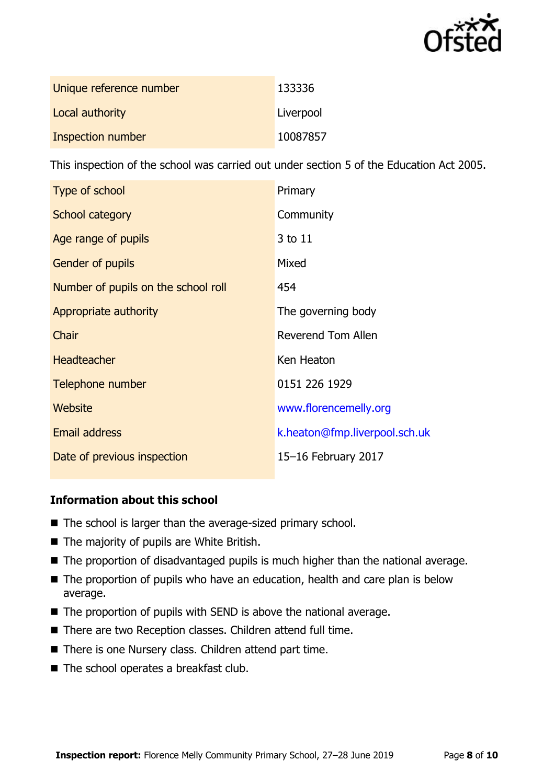

| Unique reference number | 133336    |
|-------------------------|-----------|
| Local authority         | Liverpool |
| Inspection number       | 10087857  |

This inspection of the school was carried out under section 5 of the Education Act 2005.

| Type of school                      | Primary                       |
|-------------------------------------|-------------------------------|
| School category                     | Community                     |
| Age range of pupils                 | 3 to 11                       |
| <b>Gender of pupils</b>             | Mixed                         |
| Number of pupils on the school roll | 454                           |
| Appropriate authority               | The governing body            |
| Chair                               | Reverend Tom Allen            |
| <b>Headteacher</b>                  | Ken Heaton                    |
| Telephone number                    | 0151 226 1929                 |
| Website                             | www.florencemelly.org         |
| <b>Email address</b>                | k.heaton@fmp.liverpool.sch.uk |
| Date of previous inspection         | 15-16 February 2017           |

### **Information about this school**

- The school is larger than the average-sized primary school.
- The majority of pupils are White British.
- The proportion of disadvantaged pupils is much higher than the national average.
- The proportion of pupils who have an education, health and care plan is below average.
- The proportion of pupils with SEND is above the national average.
- There are two Reception classes. Children attend full time.
- There is one Nursery class. Children attend part time.
- The school operates a breakfast club.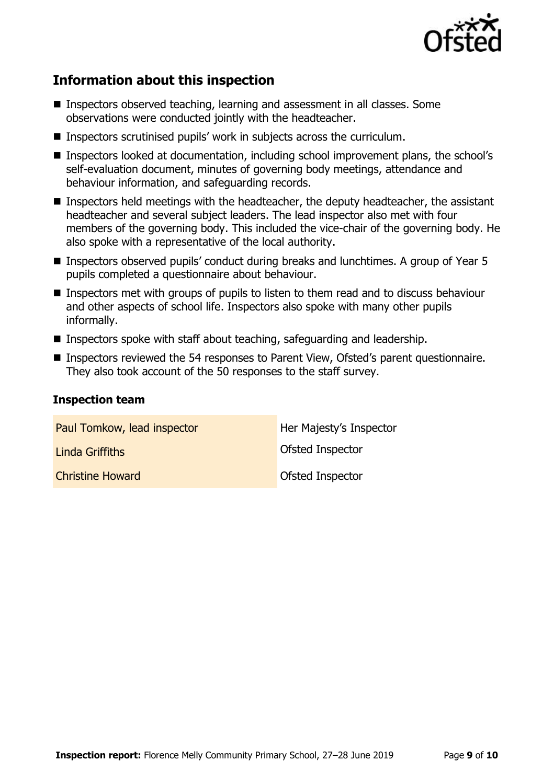

# **Information about this inspection**

- Inspectors observed teaching, learning and assessment in all classes. Some observations were conducted jointly with the headteacher.
- Inspectors scrutinised pupils' work in subjects across the curriculum.
- Inspectors looked at documentation, including school improvement plans, the school's self-evaluation document, minutes of governing body meetings, attendance and behaviour information, and safeguarding records.
- Inspectors held meetings with the headteacher, the deputy headteacher, the assistant headteacher and several subject leaders. The lead inspector also met with four members of the governing body. This included the vice-chair of the governing body. He also spoke with a representative of the local authority.
- Inspectors observed pupils' conduct during breaks and lunchtimes. A group of Year 5 pupils completed a questionnaire about behaviour.
- **Inspectors met with groups of pupils to listen to them read and to discuss behaviour** and other aspects of school life. Inspectors also spoke with many other pupils informally.
- **Inspectors spoke with staff about teaching, safeguarding and leadership.**
- Inspectors reviewed the 54 responses to Parent View, Ofsted's parent questionnaire. They also took account of the 50 responses to the staff survey.

#### **Inspection team**

| Paul Tomkow, lead inspector | Her Majesty's Inspector |
|-----------------------------|-------------------------|
| Linda Griffiths             | Ofsted Inspector        |
| <b>Christine Howard</b>     | Ofsted Inspector        |